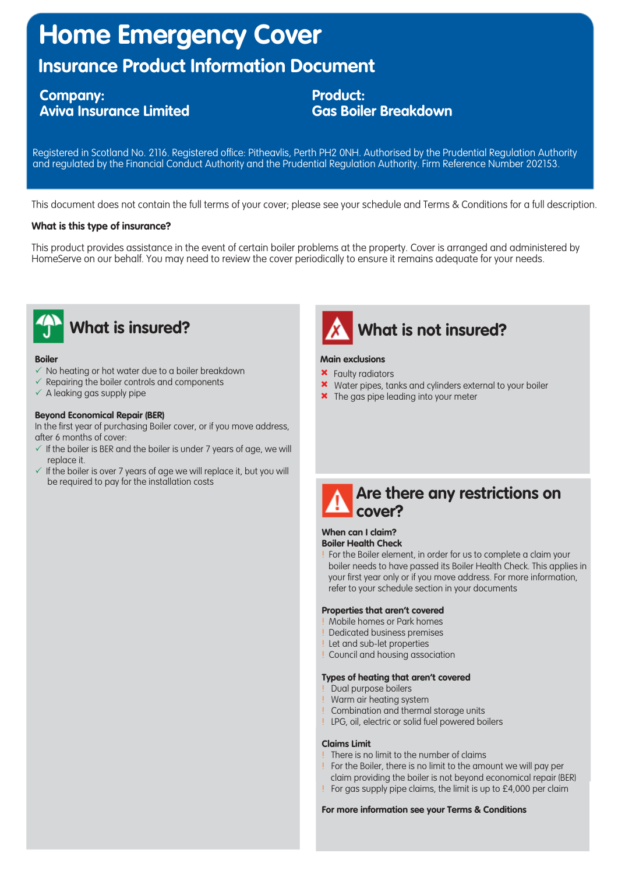# **Home Emergency Cover**

## **Insurance Product Information Document**

### **Company: Aviva Insurance Limited**

**Product: Gas Boiler Breakdown**

Registered in Scotland No. 2116. Registered office: Pitheavlis, Perth PH2 0NH. Authorised by the Prudential Regulation Authority and regulated by the Financial Conduct Authority and the Prudential Regulation Authority. Firm Reference Number 202153.

This document does not contain the full terms of your cover; please see your schedule and Terms & Conditions for a full description.

### **What is this type of insurance?**

This product provides assistance in the event of certain boiler problems at the property. Cover is arranged and administered by HomeServe on our behalf. You may need to review the cover periodically to ensure it remains adequate for your needs.



#### **Boiler**

- $\checkmark$  No heating or hot water due to a boiler breakdown
- $\checkmark$  Repairing the boiler controls and components
- $\checkmark$  A leaking gas supply pipe

#### **Beyond Economical Repair (BER)**

In the first year of purchasing Boiler cover, or if you move address, after 6 months of cover:

- $\checkmark$  If the boiler is BER and the boiler is under 7 years of age, we will replace it.
- $\checkmark$  If the boiler is over 7 years of age we will replace it, but you will be required to pay for the installation costs



#### **Main exclusions**

**\*** Faulty radiators

- \* Water pipes, tanks and cylinders external to your boiler
- <sup>\*</sup> The gas pipe leading into your meter



#### **When can I claim? Boiler Health Check**

! For the Boiler element, in order for us to complete a claim your boiler needs to have passed its Boiler Health Check. This applies in your first year only or if you move address. For more information, refer to your schedule section in your documents

#### **Properties that aren't covered**

- ! Mobile homes or Park homes
- ! Dedicated business premises
- ! Let and sub-let properties
- ! Council and housing association

#### **Types of heating that aren't covered**

- ! Dual purpose boilers
- ! Warm air heating system
- ! Combination and thermal storage units
- ! LPG, oil, electric or solid fuel powered boilers

#### **Claims Limit**

- ! There is no limit to the number of claims
- ! For the Boiler, there is no limit to the amount we will pay per claim providing the boiler is not beyond economical repair (BER)
- ! For gas supply pipe claims, the limit is up to £4,000 per claim

**For more information see your Terms & Conditions**